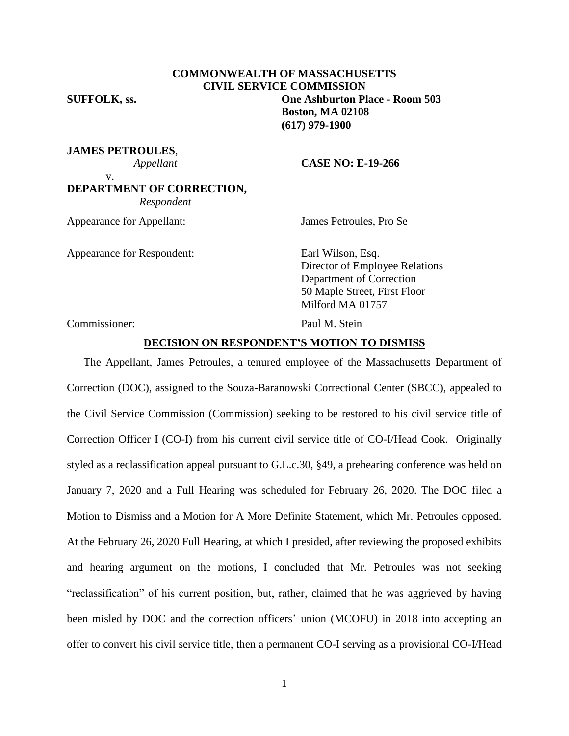**SUFFOLK, ss. One Ashburton Place - Room 503**

**JAMES PETROULES**,

 *Appellant* **CASE NO: E-19-266**

**Boston, MA 02108 (617) 979-1900**

v.

# **DEPARTMENT OF CORRECTION,**  *Respondent*

Appearance for Appellant: James Petroules, Pro Se

Appearance for Respondent: Earl Wilson, Esq.

Director of Employee Relations Department of Correction 50 Maple Street, First Floor Milford MA 01757

Commissioner: Paul M. Stein

## **DECISION ON RESPONDENT'S MOTION TO DISMISS**

**COMMONWEALTH OF MASSACHUSETTS CIVIL SERVICE COMMISSION**

The Appellant, James Petroules, a tenured employee of the Massachusetts Department of Correction (DOC), assigned to the Souza-Baranowski Correctional Center (SBCC), appealed to the Civil Service Commission (Commission) seeking to be restored to his civil service title of Correction Officer I (CO-I) from his current civil service title of CO-I/Head Cook. Originally styled as a reclassification appeal pursuant to G.L.c.30, §49, a prehearing conference was held on January 7, 2020 and a Full Hearing was scheduled for February 26, 2020. The DOC filed a Motion to Dismiss and a Motion for A More Definite Statement, which Mr. Petroules opposed. At the February 26, 2020 Full Hearing, at which I presided, after reviewing the proposed exhibits and hearing argument on the motions, I concluded that Mr. Petroules was not seeking "reclassification" of his current position, but, rather, claimed that he was aggrieved by having been misled by DOC and the correction officers' union (MCOFU) in 2018 into accepting an offer to convert his civil service title, then a permanent CO-I serving as a provisional CO-I/Head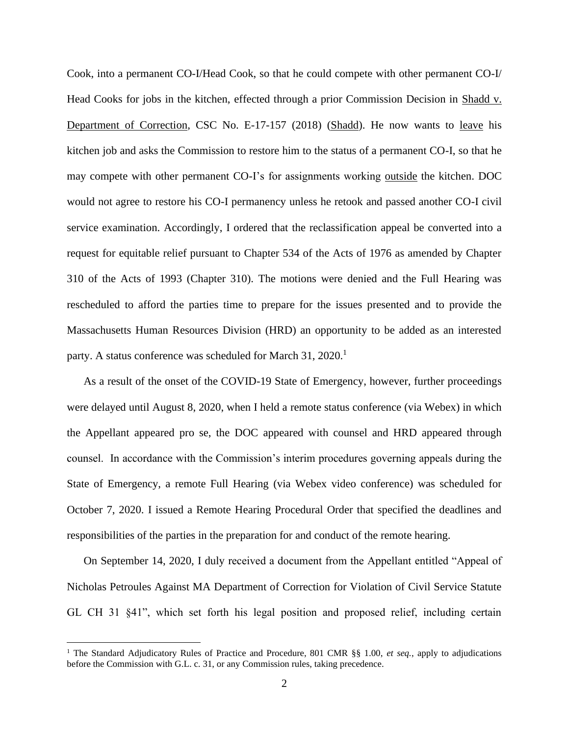Cook, into a permanent CO-I/Head Cook, so that he could compete with other permanent CO-I/ Head Cooks for jobs in the kitchen, effected through a prior Commission Decision in Shadd v. Department of Correction, CSC No. E-17-157 (2018) (Shadd). He now wants to leave his kitchen job and asks the Commission to restore him to the status of a permanent CO-I, so that he may compete with other permanent CO-I's for assignments working outside the kitchen. DOC would not agree to restore his CO-I permanency unless he retook and passed another CO-I civil service examination. Accordingly, I ordered that the reclassification appeal be converted into a request for equitable relief pursuant to Chapter 534 of the Acts of 1976 as amended by Chapter 310 of the Acts of 1993 (Chapter 310). The motions were denied and the Full Hearing was rescheduled to afford the parties time to prepare for the issues presented and to provide the Massachusetts Human Resources Division (HRD) an opportunity to be added as an interested party. A status conference was scheduled for March  $31, 2020$ .<sup>1</sup>

As a result of the onset of the COVID-19 State of Emergency, however, further proceedings were delayed until August 8, 2020, when I held a remote status conference (via Webex) in which the Appellant appeared pro se, the DOC appeared with counsel and HRD appeared through counsel. In accordance with the Commission's interim procedures governing appeals during the State of Emergency, a remote Full Hearing (via Webex video conference) was scheduled for October 7, 2020. I issued a Remote Hearing Procedural Order that specified the deadlines and responsibilities of the parties in the preparation for and conduct of the remote hearing.

On September 14, 2020, I duly received a document from the Appellant entitled "Appeal of Nicholas Petroules Against MA Department of Correction for Violation of Civil Service Statute GL CH 31 §41", which set forth his legal position and proposed relief, including certain

<sup>1</sup> The Standard Adjudicatory Rules of Practice and Procedure, 801 CMR §§ 1.00, *et seq.*, apply to adjudications before the Commission with G.L. c. 31, or any Commission rules, taking precedence.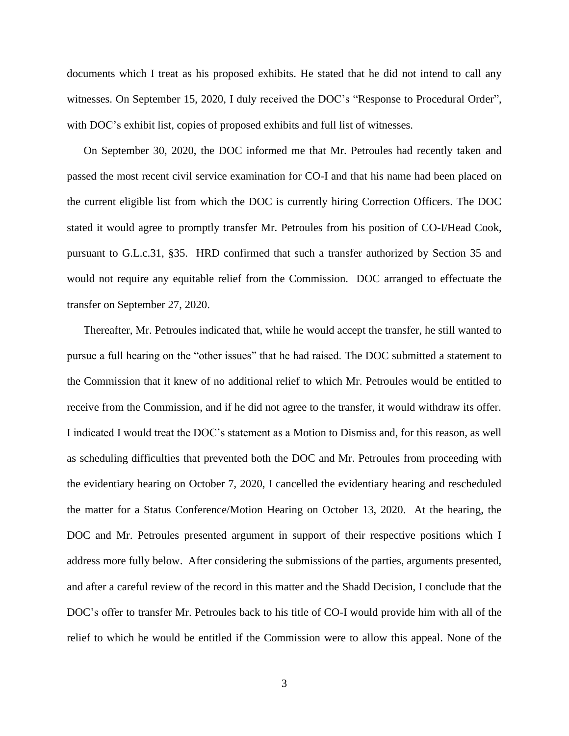documents which I treat as his proposed exhibits. He stated that he did not intend to call any witnesses. On September 15, 2020, I duly received the DOC's "Response to Procedural Order", with DOC's exhibit list, copies of proposed exhibits and full list of witnesses.

On September 30, 2020, the DOC informed me that Mr. Petroules had recently taken and passed the most recent civil service examination for CO-I and that his name had been placed on the current eligible list from which the DOC is currently hiring Correction Officers. The DOC stated it would agree to promptly transfer Mr. Petroules from his position of CO-I/Head Cook, pursuant to G.L.c.31, §35. HRD confirmed that such a transfer authorized by Section 35 and would not require any equitable relief from the Commission. DOC arranged to effectuate the transfer on September 27, 2020.

Thereafter, Mr. Petroules indicated that, while he would accept the transfer, he still wanted to pursue a full hearing on the "other issues" that he had raised. The DOC submitted a statement to the Commission that it knew of no additional relief to which Mr. Petroules would be entitled to receive from the Commission, and if he did not agree to the transfer, it would withdraw its offer. I indicated I would treat the DOC's statement as a Motion to Dismiss and, for this reason, as well as scheduling difficulties that prevented both the DOC and Mr. Petroules from proceeding with the evidentiary hearing on October 7, 2020, I cancelled the evidentiary hearing and rescheduled the matter for a Status Conference/Motion Hearing on October 13, 2020. At the hearing, the DOC and Mr. Petroules presented argument in support of their respective positions which I address more fully below. After considering the submissions of the parties, arguments presented, and after a careful review of the record in this matter and the Shadd Decision, I conclude that the DOC's offer to transfer Mr. Petroules back to his title of CO-I would provide him with all of the relief to which he would be entitled if the Commission were to allow this appeal. None of the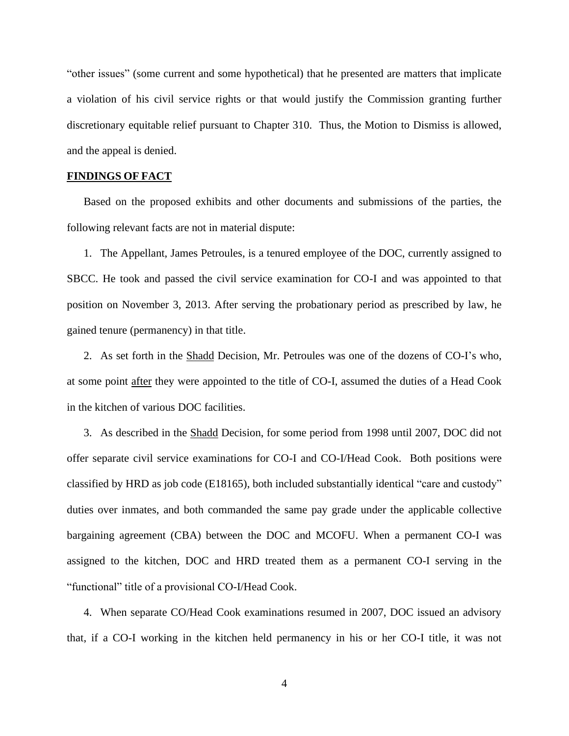"other issues" (some current and some hypothetical) that he presented are matters that implicate a violation of his civil service rights or that would justify the Commission granting further discretionary equitable relief pursuant to Chapter 310. Thus, the Motion to Dismiss is allowed, and the appeal is denied.

# **FINDINGS OF FACT**

Based on the proposed exhibits and other documents and submissions of the parties, the following relevant facts are not in material dispute:

1. The Appellant, James Petroules, is a tenured employee of the DOC, currently assigned to SBCC. He took and passed the civil service examination for CO-I and was appointed to that position on November 3, 2013. After serving the probationary period as prescribed by law, he gained tenure (permanency) in that title.

2. As set forth in the Shadd Decision, Mr. Petroules was one of the dozens of CO-I's who, at some point after they were appointed to the title of CO-I, assumed the duties of a Head Cook in the kitchen of various DOC facilities.

3. As described in the Shadd Decision, for some period from 1998 until 2007, DOC did not offer separate civil service examinations for CO-I and CO-I/Head Cook. Both positions were classified by HRD as job code (E18165), both included substantially identical "care and custody" duties over inmates, and both commanded the same pay grade under the applicable collective bargaining agreement (CBA) between the DOC and MCOFU. When a permanent CO-I was assigned to the kitchen, DOC and HRD treated them as a permanent CO-I serving in the "functional" title of a provisional CO-I/Head Cook.

4. When separate CO/Head Cook examinations resumed in 2007, DOC issued an advisory that, if a CO-I working in the kitchen held permanency in his or her CO-I title, it was not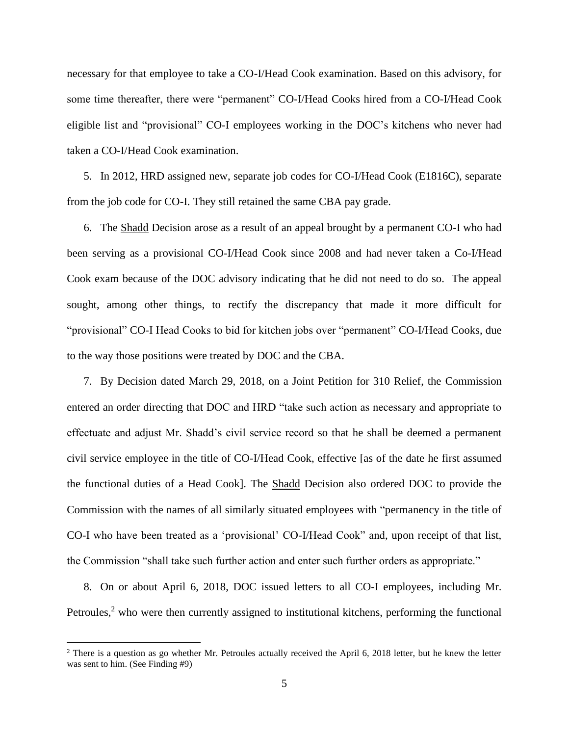necessary for that employee to take a CO-I/Head Cook examination. Based on this advisory, for some time thereafter, there were "permanent" CO-I/Head Cooks hired from a CO-I/Head Cook eligible list and "provisional" CO-I employees working in the DOC's kitchens who never had taken a CO-I/Head Cook examination.

5. In 2012, HRD assigned new, separate job codes for CO-I/Head Cook (E1816C), separate from the job code for CO-I. They still retained the same CBA pay grade.

6. The Shadd Decision arose as a result of an appeal brought by a permanent CO-I who had been serving as a provisional CO-I/Head Cook since 2008 and had never taken a Co-I/Head Cook exam because of the DOC advisory indicating that he did not need to do so. The appeal sought, among other things, to rectify the discrepancy that made it more difficult for "provisional" CO-I Head Cooks to bid for kitchen jobs over "permanent" CO-I/Head Cooks, due to the way those positions were treated by DOC and the CBA.

7. By Decision dated March 29, 2018, on a Joint Petition for 310 Relief, the Commission entered an order directing that DOC and HRD "take such action as necessary and appropriate to effectuate and adjust Mr. Shadd's civil service record so that he shall be deemed a permanent civil service employee in the title of CO-I/Head Cook, effective [as of the date he first assumed the functional duties of a Head Cook]. The Shadd Decision also ordered DOC to provide the Commission with the names of all similarly situated employees with "permanency in the title of CO-I who have been treated as a 'provisional' CO-I/Head Cook" and, upon receipt of that list, the Commission "shall take such further action and enter such further orders as appropriate."

8. On or about April 6, 2018, DOC issued letters to all CO-I employees, including Mr. Petroules, $<sup>2</sup>$  who were then currently assigned to institutional kitchens, performing the functional</sup>

<sup>&</sup>lt;sup>2</sup> There is a question as go whether Mr. Petroules actually received the April 6, 2018 letter, but he knew the letter was sent to him. (See Finding #9)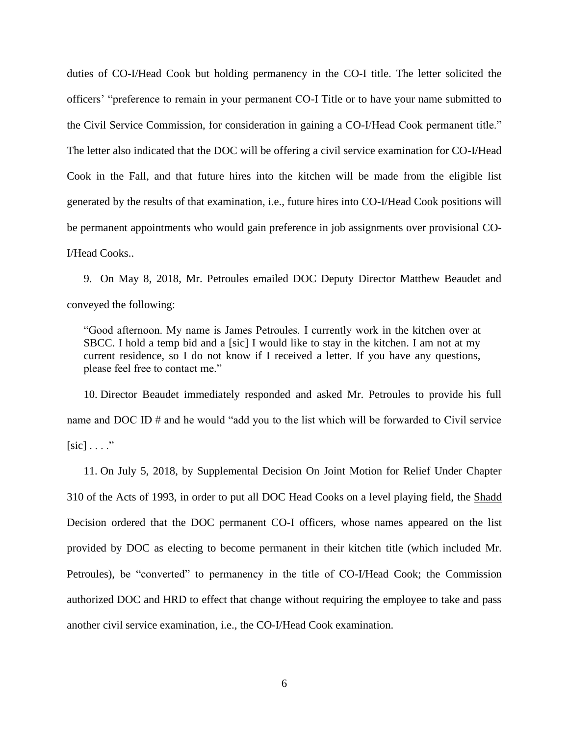duties of CO-I/Head Cook but holding permanency in the CO-I title. The letter solicited the officers' "preference to remain in your permanent CO-I Title or to have your name submitted to the Civil Service Commission, for consideration in gaining a CO-I/Head Cook permanent title." The letter also indicated that the DOC will be offering a civil service examination for CO-I/Head Cook in the Fall, and that future hires into the kitchen will be made from the eligible list generated by the results of that examination, i.e., future hires into CO-I/Head Cook positions will be permanent appointments who would gain preference in job assignments over provisional CO-I/Head Cooks..

9. On May 8, 2018, Mr. Petroules emailed DOC Deputy Director Matthew Beaudet and conveyed the following:

"Good afternoon. My name is James Petroules. I currently work in the kitchen over at SBCC. I hold a temp bid and a [sic] I would like to stay in the kitchen. I am not at my current residence, so I do not know if I received a letter. If you have any questions, please feel free to contact me."

10. Director Beaudet immediately responded and asked Mr. Petroules to provide his full name and DOC ID # and he would "add you to the list which will be forwarded to Civil service  $[sic] \ldots$ "

11. On July 5, 2018, by Supplemental Decision On Joint Motion for Relief Under Chapter 310 of the Acts of 1993, in order to put all DOC Head Cooks on a level playing field, the Shadd Decision ordered that the DOC permanent CO-I officers, whose names appeared on the list provided by DOC as electing to become permanent in their kitchen title (which included Mr. Petroules), be "converted" to permanency in the title of CO-I/Head Cook; the Commission authorized DOC and HRD to effect that change without requiring the employee to take and pass another civil service examination, i.e., the CO-I/Head Cook examination.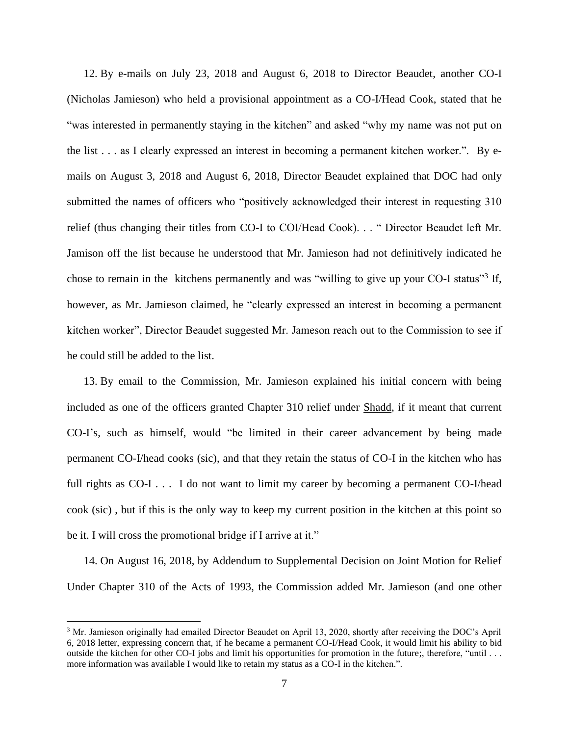12. By e-mails on July 23, 2018 and August 6, 2018 to Director Beaudet, another CO-I (Nicholas Jamieson) who held a provisional appointment as a CO-I/Head Cook, stated that he "was interested in permanently staying in the kitchen" and asked "why my name was not put on the list . . . as I clearly expressed an interest in becoming a permanent kitchen worker.". By emails on August 3, 2018 and August 6, 2018, Director Beaudet explained that DOC had only submitted the names of officers who "positively acknowledged their interest in requesting 310 relief (thus changing their titles from CO-I to COI/Head Cook). . . " Director Beaudet left Mr. Jamison off the list because he understood that Mr. Jamieson had not definitively indicated he chose to remain in the kitchens permanently and was "willing to give up your CO-I status"<sup>3</sup> If, however, as Mr. Jamieson claimed, he "clearly expressed an interest in becoming a permanent kitchen worker", Director Beaudet suggested Mr. Jameson reach out to the Commission to see if he could still be added to the list.

13. By email to the Commission, Mr. Jamieson explained his initial concern with being included as one of the officers granted Chapter 310 relief under Shadd, if it meant that current CO-I's, such as himself, would "be limited in their career advancement by being made permanent CO-I/head cooks (sic), and that they retain the status of CO-I in the kitchen who has full rights as CO-I . . . I do not want to limit my career by becoming a permanent CO-I/head cook (sic) , but if this is the only way to keep my current position in the kitchen at this point so be it. I will cross the promotional bridge if I arrive at it."

14. On August 16, 2018, by Addendum to Supplemental Decision on Joint Motion for Relief Under Chapter 310 of the Acts of 1993, the Commission added Mr. Jamieson (and one other

<sup>&</sup>lt;sup>3</sup> Mr. Jamieson originally had emailed Director Beaudet on April 13, 2020, shortly after receiving the DOC's April 6, 2018 letter, expressing concern that, if he became a permanent CO-I/Head Cook, it would limit his ability to bid outside the kitchen for other CO-I jobs and limit his opportunities for promotion in the future;, therefore, "until . . . more information was available I would like to retain my status as a CO-I in the kitchen.".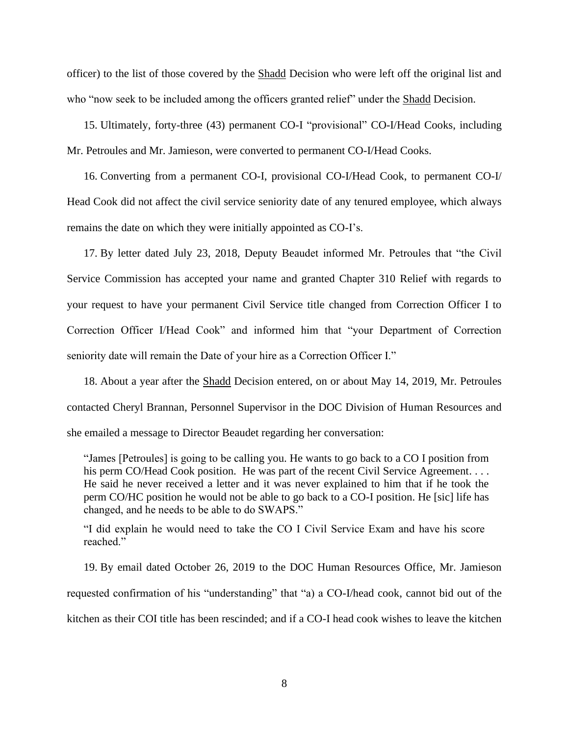officer) to the list of those covered by the Shadd Decision who were left off the original list and who "now seek to be included among the officers granted relief" under the Shadd Decision.

15. Ultimately, forty-three (43) permanent CO-I "provisional" CO-I/Head Cooks, including Mr. Petroules and Mr. Jamieson, were converted to permanent CO-I/Head Cooks.

16. Converting from a permanent CO-I, provisional CO-I/Head Cook, to permanent CO-I/ Head Cook did not affect the civil service seniority date of any tenured employee, which always remains the date on which they were initially appointed as CO-I's.

17. By letter dated July 23, 2018, Deputy Beaudet informed Mr. Petroules that "the Civil Service Commission has accepted your name and granted Chapter 310 Relief with regards to your request to have your permanent Civil Service title changed from Correction Officer I to Correction Officer I/Head Cook" and informed him that "your Department of Correction seniority date will remain the Date of your hire as a Correction Officer I."

18. About a year after the Shadd Decision entered, on or about May 14, 2019, Mr. Petroules contacted Cheryl Brannan, Personnel Supervisor in the DOC Division of Human Resources and she emailed a message to Director Beaudet regarding her conversation:

"James [Petroules] is going to be calling you. He wants to go back to a CO I position from his perm CO/Head Cook position. He was part of the recent Civil Service Agreement. . . . He said he never received a letter and it was never explained to him that if he took the perm CO/HC position he would not be able to go back to a CO-I position. He [sic] life has changed, and he needs to be able to do SWAPS."

"I did explain he would need to take the CO I Civil Service Exam and have his score reached."

19. By email dated October 26, 2019 to the DOC Human Resources Office, Mr. Jamieson requested confirmation of his "understanding" that "a) a CO-I/head cook, cannot bid out of the kitchen as their COI title has been rescinded; and if a CO-I head cook wishes to leave the kitchen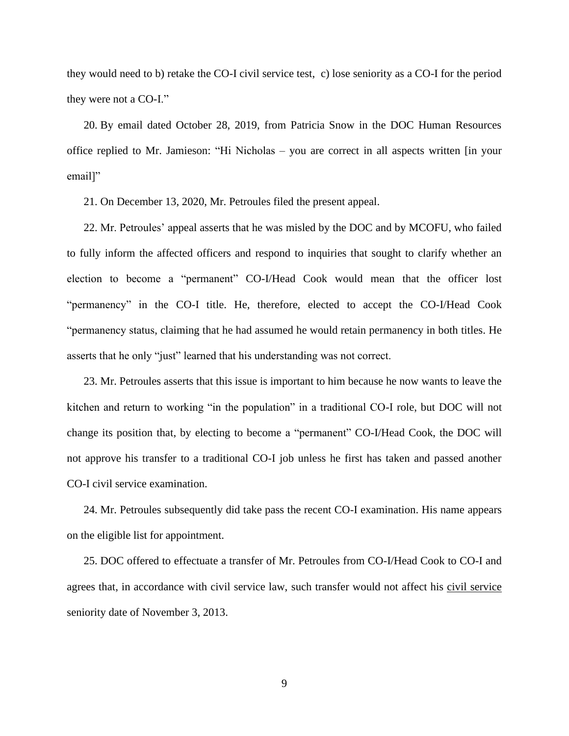they would need to b) retake the CO-I civil service test, c) lose seniority as a CO-I for the period they were not a CO-I."

20. By email dated October 28, 2019, from Patricia Snow in the DOC Human Resources office replied to Mr. Jamieson: "Hi Nicholas – you are correct in all aspects written [in your email]"

21. On December 13, 2020, Mr. Petroules filed the present appeal.

22. Mr. Petroules' appeal asserts that he was misled by the DOC and by MCOFU, who failed to fully inform the affected officers and respond to inquiries that sought to clarify whether an election to become a "permanent" CO-I/Head Cook would mean that the officer lost "permanency" in the CO-I title. He, therefore, elected to accept the CO-I/Head Cook "permanency status, claiming that he had assumed he would retain permanency in both titles. He asserts that he only "just" learned that his understanding was not correct.

23. Mr. Petroules asserts that this issue is important to him because he now wants to leave the kitchen and return to working "in the population" in a traditional CO-I role, but DOC will not change its position that, by electing to become a "permanent" CO-I/Head Cook, the DOC will not approve his transfer to a traditional CO-I job unless he first has taken and passed another CO-I civil service examination.

24. Mr. Petroules subsequently did take pass the recent CO-I examination. His name appears on the eligible list for appointment.

25. DOC offered to effectuate a transfer of Mr. Petroules from CO-I/Head Cook to CO-I and agrees that, in accordance with civil service law, such transfer would not affect his civil service seniority date of November 3, 2013.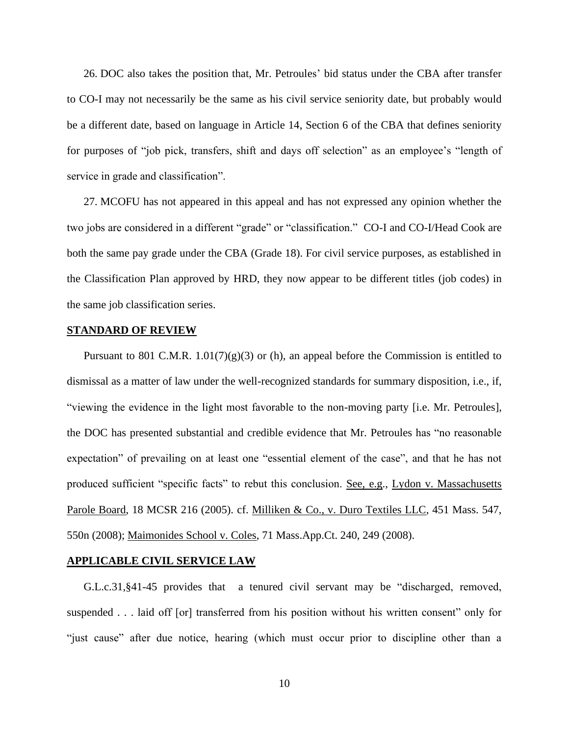26. DOC also takes the position that, Mr. Petroules' bid status under the CBA after transfer to CO-I may not necessarily be the same as his civil service seniority date, but probably would be a different date, based on language in Article 14, Section 6 of the CBA that defines seniority for purposes of "job pick, transfers, shift and days off selection" as an employee's "length of service in grade and classification".

27. MCOFU has not appeared in this appeal and has not expressed any opinion whether the two jobs are considered in a different "grade" or "classification." CO-I and CO-I/Head Cook are both the same pay grade under the CBA (Grade 18). For civil service purposes, as established in the Classification Plan approved by HRD, they now appear to be different titles (job codes) in the same job classification series.

## **STANDARD OF REVIEW**

Pursuant to 801 C.M.R.  $1.01(7)(g)(3)$  or (h), an appeal before the Commission is entitled to dismissal as a matter of law under the well-recognized standards for summary disposition, i.e., if, "viewing the evidence in the light most favorable to the non-moving party [i.e. Mr. Petroules], the DOC has presented substantial and credible evidence that Mr. Petroules has "no reasonable expectation" of prevailing on at least one "essential element of the case", and that he has not produced sufficient "specific facts" to rebut this conclusion. See, e.g., Lydon v. Massachusetts Parole Board, 18 MCSR 216 (2005). cf. Milliken & Co., v. Duro Textiles LLC, 451 Mass. 547, 550n (2008); Maimonides School v. Coles, 71 Mass.App.Ct. 240, 249 (2008).

### **APPLICABLE CIVIL SERVICE LAW**

G.L.c.31,§41-45 provides that a tenured civil servant may be "discharged, removed, suspended . . . laid off [or] transferred from his position without his written consent" only for "just cause" after due notice, hearing (which must occur prior to discipline other than a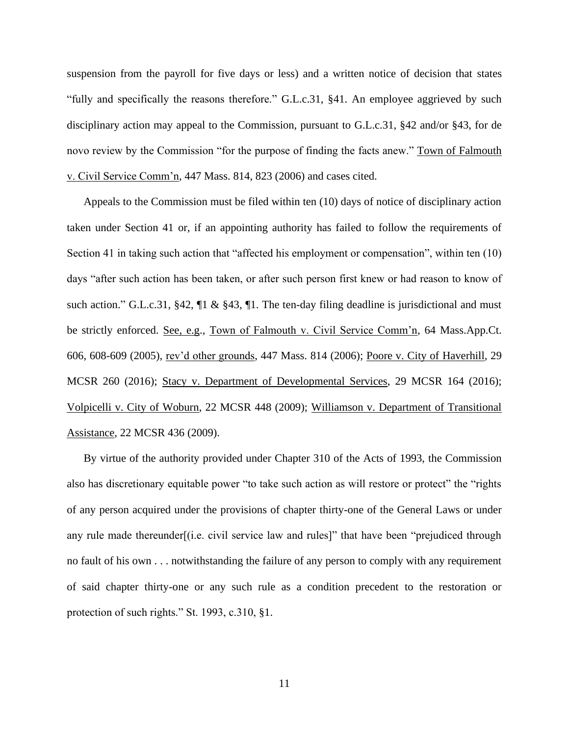suspension from the payroll for five days or less) and a written notice of decision that states "fully and specifically the reasons therefore." G.L.c.31, §41. An employee aggrieved by such disciplinary action may appeal to the Commission, pursuant to G.L.c.31, §42 and/or §43, for de novo review by the Commission "for the purpose of finding the facts anew." Town of Falmouth v. Civil Service Comm'n, 447 Mass. 814, 823 (2006) and cases cited.

Appeals to the Commission must be filed within ten (10) days of notice of disciplinary action taken under Section 41 or, if an appointing authority has failed to follow the requirements of Section 41 in taking such action that "affected his employment or compensation", within ten (10) days "after such action has been taken, or after such person first knew or had reason to know of such action." G.L.c.31, §42,  $\Pi \&$  §43,  $\P$ 1. The ten-day filing deadline is jurisdictional and must be strictly enforced. See, e.g., Town of Falmouth v. Civil Service Comm'n, 64 Mass.App.Ct. 606, 608-609 (2005), rev'd other grounds, 447 Mass. 814 (2006); Poore v. City of Haverhill, 29 MCSR 260 (2016); Stacy v. Department of Developmental Services, 29 MCSR 164 (2016); Volpicelli v. City of Woburn, 22 MCSR 448 (2009); Williamson v. Department of Transitional Assistance, 22 MCSR 436 (2009).

By virtue of the authority provided under Chapter 310 of the Acts of 1993, the Commission also has discretionary equitable power "to take such action as will restore or protect" the "rights of any person acquired under the provisions of chapter thirty-one of the General Laws or under any rule made thereunder[(i.e. civil service law and rules]" that have been "prejudiced through no fault of his own . . . notwithstanding the failure of any person to comply with any requirement of said chapter thirty-one or any such rule as a condition precedent to the restoration or protection of such rights." St. 1993, c.310, §1.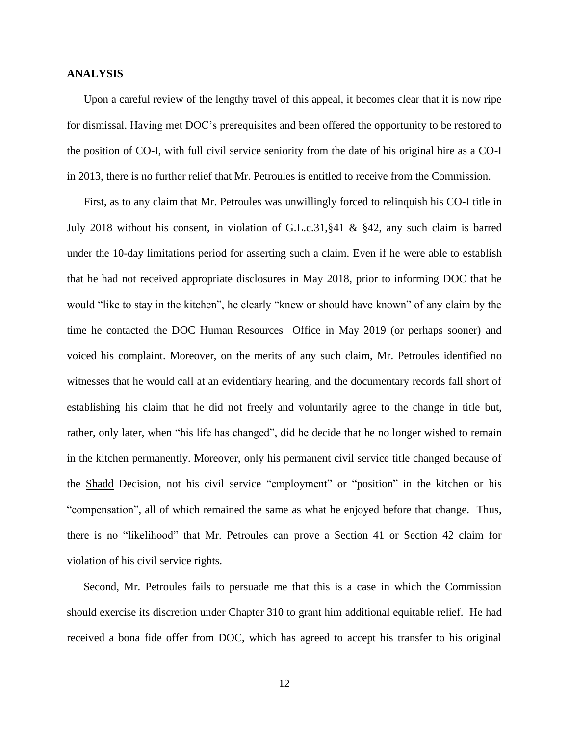### **ANALYSIS**

Upon a careful review of the lengthy travel of this appeal, it becomes clear that it is now ripe for dismissal. Having met DOC's prerequisites and been offered the opportunity to be restored to the position of CO-I, with full civil service seniority from the date of his original hire as a CO-I in 2013, there is no further relief that Mr. Petroules is entitled to receive from the Commission.

First, as to any claim that Mr. Petroules was unwillingly forced to relinquish his CO-I title in July 2018 without his consent, in violation of G.L.c.31,§41 & §42, any such claim is barred under the 10-day limitations period for asserting such a claim. Even if he were able to establish that he had not received appropriate disclosures in May 2018, prior to informing DOC that he would "like to stay in the kitchen", he clearly "knew or should have known" of any claim by the time he contacted the DOC Human Resources Office in May 2019 (or perhaps sooner) and voiced his complaint. Moreover, on the merits of any such claim, Mr. Petroules identified no witnesses that he would call at an evidentiary hearing, and the documentary records fall short of establishing his claim that he did not freely and voluntarily agree to the change in title but, rather, only later, when "his life has changed", did he decide that he no longer wished to remain in the kitchen permanently. Moreover, only his permanent civil service title changed because of the Shadd Decision, not his civil service "employment" or "position" in the kitchen or his "compensation", all of which remained the same as what he enjoyed before that change. Thus, there is no "likelihood" that Mr. Petroules can prove a Section 41 or Section 42 claim for violation of his civil service rights.

Second, Mr. Petroules fails to persuade me that this is a case in which the Commission should exercise its discretion under Chapter 310 to grant him additional equitable relief. He had received a bona fide offer from DOC, which has agreed to accept his transfer to his original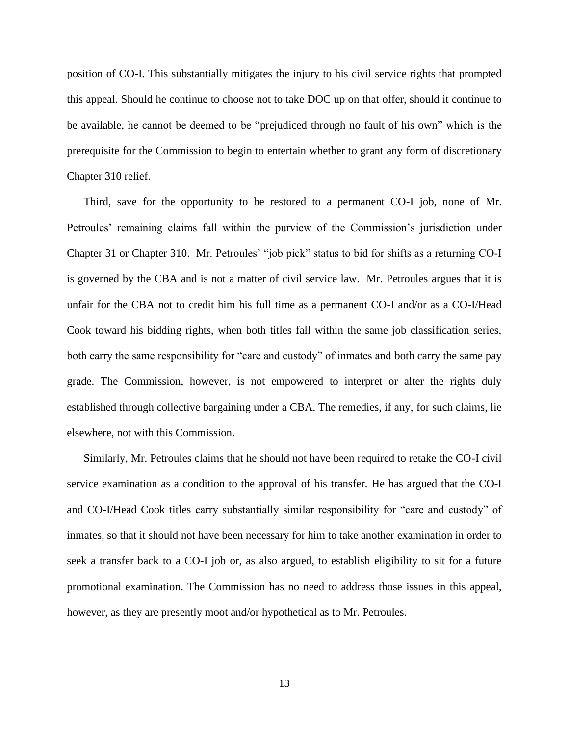position of CO-I. This substantially mitigates the injury to his civil service rights that prompted this appeal. Should he continue to choose not to take DOC up on that offer, should it continue to be available, he cannot be deemed to be "prejudiced through no fault of his own" which is the prerequisite for the Commission to begin to entertain whether to grant any form of discretionary Chapter 310 relief.

Third, save for the opportunity to be restored to a permanent CO-I job, none of Mr. Petroules' remaining claims fall within the purview of the Commission's jurisdiction under Chapter 31 or Chapter 310. Mr. Petroules' "job pick" status to bid for shifts as a returning CO-I is governed by the CBA and is not a matter of civil service law. Mr. Petroules argues that it is unfair for the CBA not to credit him his full time as a permanent CO-I and/or as a CO-I/Head Cook toward his bidding rights, when both titles fall within the same job classification series, both carry the same responsibility for "care and custody" of inmates and both carry the same pay grade. The Commission, however, is not empowered to interpret or alter the rights duly established through collective bargaining under a CBA. The remedies, if any, for such claims, lie elsewhere, not with this Commission.

Similarly, Mr. Petroules claims that he should not have been required to retake the CO-I civil service examination as a condition to the approval of his transfer. He has argued that the CO-I and CO-I/Head Cook titles carry substantially similar responsibility for "care and custody" of inmates, so that it should not have been necessary for him to take another examination in order to seek a transfer back to a CO-I job or, as also argued, to establish eligibility to sit for a future promotional examination. The Commission has no need to address those issues in this appeal, however, as they are presently moot and/or hypothetical as to Mr. Petroules.